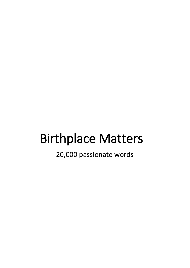# Birthplace Matters

20,000 passionate words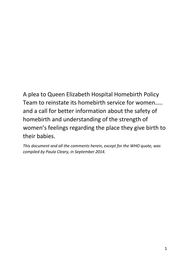A plea to Queen Elizabeth Hospital Homebirth Policy Team to reinstate its homebirth service for women….. and a call for better information about the safety of homebirth and understanding of the strength of women's feelings regarding the place they give birth to their babies.

*This document and all the comments herein, except for the WHO quote, was compiled by Paula Cleary, in September 2014.*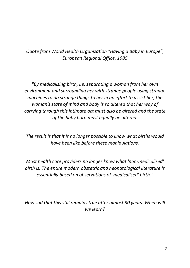## *Quote from World Health Organization "Having a Baby in Europe", European Regional Office, 1985*

*"By medicalising birth, i.e. separating a woman from her own environment and surrounding her with strange people using strange machines to do strange things to her in an effort to assist her, the woman's state of mind and body is so altered that her way of carrying through this intimate act must also be altered and the state of the baby born must equally be altered.* 

*The result is that it is no longer possible to know what births would have been like before these manipulations.* 

*Most health care providers no longer know what 'non-medicalised' birth is. The entire modern obstetric and neonatological literature is essentially based on observations of 'medicalised' birth."*

*How sad that this still remains true after almost 30 years. When will we learn?*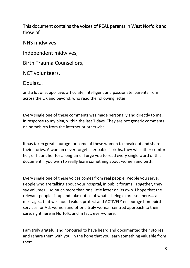This document contains the voices of REAL parents in West Norfolk and those of

NHS midwives,

Independent midwives,

Birth Trauma Counsellors,

NCT volunteers,

## Doulas…

and a lot of supportive, articulate, intelligent and passionate parents from across the UK and beyond, who read the following letter.

Every single one of these comments was made personally and directly to me, in response to my plea, within the last 7 days. They are not generic comments on homebirth from the internet or otherwise.

It has taken great courage for some of these women to speak out and share their stories. A woman never forgets her babies' births, they will either comfort her, or haunt her for a long time. I urge you to read every single word of this document if you wish to really learn something about women and birth.

Every single one of these voices comes from real people. People you serve. People who are talking about your hospital, in public forums. Together, they say volumes – so much more than one little letter on its own. I hope that the relevant people sit up and take notice of what is being expressed here…. a message… that we should value, protect and ACTIVELY encourage homebirth services for ALL women and offer a truly woman-centred approach to their care, right here in Norfolk, and in fact, everywhere.

I am truly grateful and honoured to have heard and documented their stories, and I share them with you, in the hope that you learn something valuable from them.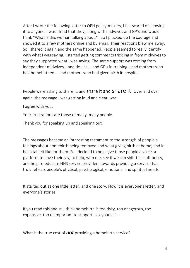After I wrote the following letter to QEH policy-makers, I felt scared of showing it to anyone. I was afraid that they, along with midwives and GP's and would think "What is this woman talking about?" So I plucked up the courage and showed it to a few mothers online and by email. Their reactions blew me away. So I shared it again and the same happened. People seemed to really identify with what I was saying. I started getting comments trickling in from midwives to say they supported what I was saying. The same support was coming from independent midwives… and doulas…. and GP's in training… and mothers who had homebirthed…. and mothers who had given birth in hospital…

People were asking to share it, and share it and Share it! Over and over again, the message I was getting loud and clear, was:

I agree with you.

Your frustrations are those of many, many people.

Thank you for speaking up and speaking out.

The messages became an interesting testament to the strength of people's feelings about homebirth being removed and what giving birth at home, and in hospital felt like for them. So I decided to help give those people a voice, a platform to have their say, to help, with me, see if we can shift this daft policy, and help re-educate NHS service providers towards providing a service that truly reflects people's physical, psychological, emotional and spiritual needs.

It started out as one little letter, and one story. Now it is everyone's letter, and everyone's stories.

If you read this and still think homebirth is too risky, too dangerous, too expensive, too unimportant to support, ask yourself –

What is the true cost of *not* providing a homebirth service?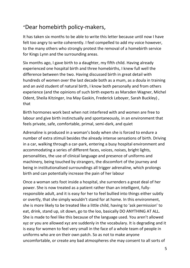# "Dear homebirth policy-makers,

It has taken six months to be able to write this letter because until now I have felt too angry to write coherently. I feel compelled to add my voice however, to the many others who strongly protest the removal of a homebirth service for Kings Lynn and the surrounding areas.

Six months ago, I gave birth to a daughter, my fifth child. Having already experienced one hospital birth and three homebirths, I knew full well the difference between the two. Having discussed birth in great detail with hundreds of women over the last decade both as a mum, as a doula in training and an avid student of natural birth, I know both personally and from others experience (and the opinions of such birth experts as Marsden Wagner, Michel Odent, Sheila Kitzinger, Ina May Gaskin, Frederick Leboyer, Sarah Buckley) , that

Birth hormones work best when not interfered with and women are free to labour and give birth instinctually and spontaneously, in an environment that feels private, safe, comfortable, primal, semi-dark, and quiet

Adrenaline is produced in a woman's body when she is forced to endure a number of extra stimuli besides the already intense sensations of birth. Driving in a car, walking through a car-park, entering a busy hospital environment and accommodating a series of different faces, voices, noises, bright lights, personalities, the use of clinical language and presence of uniforms and machinery, being touched by strangers, the discomfort of the journey and being in institutionalised surroundings all trigger adrenaline, which prolongs birth and can potentially increase the pain of her labour

Once a woman sets foot inside a hospital, she surrenders a great deal of her power. She is now treated as a patient rather than an intelligent, fullyresponsible adult, and it is easy for her to feel bullied into things either subtly or overtly, that she simply wouldn't stand for at home. In this environment, she is more likely to be treated like a little child, having to 'ask permission' to eat, drink, stand up, sit down, go to the loo, basically DO ANYTHING AT ALL. She is made to feel like this because of the language used. You aren't allowed xyz or you are allowed xyz are suddenly in the vocabulary. It is degrading and it is easy for women to feel very small in the face of a whole team of people in uniforms who are on their own patch. So as not to make anyone uncomfortable, or create any bad atmospheres she may consent to all sorts of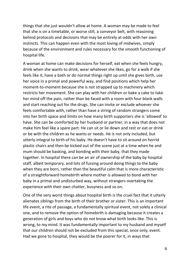things that she just wouldn't allow at home. A woman may be made to feel that she is on a timetable, or worse still, a conveyor belt, with reasoning behind protocols and decisions that may be entirely at odds with her own instincts. This can happen even with the most loving of midwives, simply because of the environment and rules necessary for the smooth functioning of hospital life.

A woman at home can make decisions for herself, eat when she feels hungry, drink when she wants to drink, wear whatever she likes, go for a walk if she feels like it, have a bath or do normal things right up until she gives birth, use her voice in a primal and powerful way, and find positions which help her moment-to-moment because she is not strapped up to machinery which restricts her movement. She can play with her children or bake a cake to take her mind off the pain, rather than be faced with a room with four blank walls and start reaching out for the drugs. She can invite or exclude whoever she feels comfortable with, rather than have a string of random strangers come into her birth space and limits on how many birth supporters she is 'allowed' to have. She can be comforted by her husband or partner, in a way that does not make him feel like a spare part. He can sit or lie down and rest or eat or drink or be with the children as he wants or needs. He is not only included, but utterly integral to birth of his baby. He doesn't have to sit around on horrid plastic chairs and then be kicked out of the scene just at a time when he and mum should be basking, and bonding with their baby, that they made together. In hospital there can be an air of ownership of the baby by hospital staff, albeit temporary, and lots of fussing around doing things to the baby when they are born, rather than the beautiful calm that is more characteristic of a straightforward homebirth where mother is allowed to bond with her baby in a primal and undisturbed way, without strangers overtaking the experience with their own chatter, busyness and so on.

One of the very worst things about hospital birth is the cruel fact that it utterly alienates siblings from the birth of their brother or sister. This is an important life event, a rite of passage, a fundamentally spiritual event, not solely a clinical one, and to remove the option of homebirth is damaging because it creates a generation of girls and boys who do not know what birth looks like. This is wrong, to my mind. It was fundamentally important to my husband and myself that our children should not be excluded from this special, once only, event. Had we gone to hospital, they would be the poorer for it, in ways that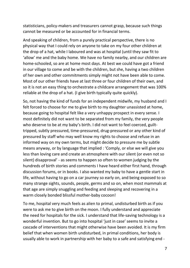statisticians, policy-makers and treasurers cannot grasp, because such things cannot be measured or be accounted for in financial terms.

And speaking of children, from a purely practical perspective, there is no physical way that I could rely on anyone to take on my four other children at the drop of a hat, while I laboured and was at hospital (until they saw fit to 'allow' me and the baby home. We have no family nearby, and our children are home-schooled, so are at home most days. At best we could have got a friend in our village to come and be with the children, but she, having a two children of her own and other commitments simply might not have been able to come. Most of our other friends have at last three or four children of their own, and so it is not an easy thing to orchestrate a childcare arrangement that was 100% reliable at the drop of a hat. (I give birth typically quite quickly).

So, not having the kind of funds for an independent midwife, my husband and I felt forced to choose for me to give birth to my daughter unassisted at home, because going to hospital felt like a very unhappy prospect in every sense. I most definitely did not want to be separated from my family, the very people who deserve to be at my baby's birth. I did not want to feel coerced, guilttripped, subtly pressured, time-pressured, drug-pressured or any other kind of pressured by staff who may well know my rights to choose and refuse in an informed way on my own terms, but might decide to pressure me by subtle means anyway, or by language that implied : 'Comply, or else we will give you less than loving care and create an atmosphere with our silent (or even not so silent) disapproval' - as seems to happen so often to women judging by the hundreds of birth stories and comments I have heard either first hand, through discussion forums, or in books. I also wanted my baby to have a gentle start in life, without having to go on a car journey so early on, and being exposed to so many strange sights, sounds, people, germs and so on, when most mammals at that age are simply snuggling and feeding and sleeping and recovering in a warm closely bonded blissful mother-baby cocoon!

To me, hospital very much feels as alien to primal, undisturbed birth as if you were to ask me to give birth on the moon. I fully understand and appreciate the need for hospitals for the sick. I understand that life-saving technology is a wonderful invention. But to go into hospital 'just in case' seems to invite a cascade of interventions that might otherwise have been avoided. It is my firm belief that when women birth undisturbed, in primal conditions, her body is usually able to work in partnership with her baby to a safe and satisfying end -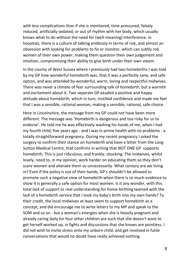with less complications than if she is monitored, time-pressured, falsely induced, artificially sedated, or out of rhythm with her body, which usually knows what to do without the need for (well-meaning) interference. in hospitals, there is a culture of talking endlessly in terms of risk, and almost an obsession with looking for problems to fix or monitor, which can subtly rob women of their own power, making them question their own judgement and intuition, compromising their ability to give birth under their own steam.

In the county of West Sussex where I previously had two homebirths I was told by my GP how wonderful homebirth was, that it was a perfectly sane, and safe option, and was attended by wonderful, warm, loving and respectful midwives. There was never a climate of fear surrounding talk of homebirth, but a warmth and excitement about it. Two separate GP exuded a positive and happy attitude about homebirth, which in turn, instilled confidence and made me feel that I was a sensible, rational woman, making a sensible, rational, safe choice.

Here in Lincolnshire, the message from my GP could not have been more different. The message was 'Homebirth is dangerous and too risky for us to endorse'. He told me he was effectively washing his hands of me, when I had my fourth child, five years ago - and I was in prime health with no problems - a totally straightforward pregnancy. During my recent pregnancy I asked the surgery to confirm their stance on homebirth and have a letter from the Long Sutton Medical Centre, that confirms in writing that *NOT ONE GP* supports homebirth*.* This is just ridiculous, and frankly, shocking. The midwives, whilst lovely, need to, in my opinion, work harder on educating them so they don't scare women and alienate them so unnecessarily. What century are we living in? Even if the policy is out of their hands, GP's shouldn't be allowed to promote such a negative view of homebirth when there is so much evidence to show it is generally a safe option for most women. Is it any wonder, with this total lack of support or real understanding for home-birthing teamed with the lack of a homebirth service that I took my baby's birth into my own hands? To their credit, the local midwives at least seem to support homebirth as a concept, and did encourage me to write letters to my MP and speak to the SOM and so on - but a woman's energies when she is heavily pregnant and already caring daily for four other children are such that she doesn't want to get herself worked up, in fights and discussions that she knows are pointless. I did not wish to invite stress onto my unborn child, and get involved in futile conversations that would no doubt have really achieved nothing.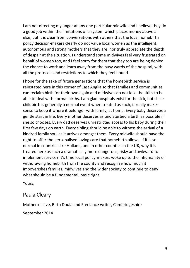I am not directing my anger at any one particular midwife and I believe they do a good job within the limitations of a system which places money above all else, but it is clear from conversations with others that the local homebirth policy decision-makers clearly do not value local women as the intelligent, autonomous and strong mothers that they are, nor truly appreciate the depth of despair at the situation. I understand some midwives feel very frustrated on behalf of women too, and I feel sorry for them that they too are being denied the chance to work and learn away from the busy wards of the hospital, with all the protocols and restrictions to which they feel bound.

I hope for the sake of future generations that the homebirth service is reinstated here in this corner of East Anglia so that families and communities can reclaim birth for their own again and midwives do not lose the skills to be able to deal with normal births. I am glad hospitals exist for the sick, but since childbirth is generally a normal event when treated as such, it really makes sense to keep it where it belongs - with family, at home. Every baby deserves a gentle start in life. Every mother deserves as undisturbed a birth as possible if she so chooses. Every dad deserves unrestricted access to his baby during their first few days on earth. Every sibling should be able to witness the arrival of a kindred family soul as it arrives amongst them. Every midwife should have the right to offer the personalised loving care that homebirth allows. If it is so normal in countries like Holland, and in other counties in the UK, why it is treated here as such a dramatically more dangerous, risky and awkward to implement service? It's time local policy-makers woke up to the inhumanity of withdrawing homebirth from the county and recognize how much it impoverishes families, midwives and the wider society to continue to deny what should be a fundamental, basic right.

Yours,

## Paula Cleary

Mother-of-five, Birth Doula and Freelance writer, Cambridgeshire

September 2014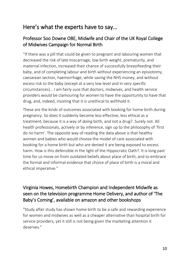## Here's what the experts have to say…

## Professor Soo Downe OBE, Midwife and Chair of the UK Royal College of Midwives Campaign for Normal Birth

"If there was a pill that could be given to pregnant and labouring women that decreased the risk of late miscarriage, low birth weight, prematurity, and maternal infection, increased their chance of successfully breastfeeding their baby, and of completing labour and birth without experiencing an episiotomy, caesarean section, haemorrhage, while saving the NHS money, and without excess risk to the baby (except at a very low level and in very specific circumstances)… I am fairly sure that doctors, midwives, and health service providers would be clamouring for women to have the opportunity to have that drug, and, indeed, insisting that it is unethical to withhold it.

These are the kinds of outcomes associated with booking for home birth during pregnancy. So does it suddenly become less effective, less ethical as a treatment, because it is a way of *doing* birth, and not a drug?. Surely not. All health professionals, actively or by inference, sign up to the philosophy of 'first do no harm'. The opposite way of reading the data above is that healthy women and babies who would choose the model of care associated with booking for a home birth but who are denied it are being exposed to excess harm. How is this defensible in the light of the Hippocratic Oath?. It is long past time for us move on from outdated beliefs about place of birth, and to embrace the formal and informal evidence that choice of place of birth is a moral and ethical imperative."

## Virginia Howes, Homebirth Champion and Independent Midwife as seen on the television programme Home Delivery, and author of 'The Baby's Coming', available on amazon and other bookshops

"Study after study has shown home birth to be a safe and rewarding experience for women and midwives as well as a cheaper alternative than hospital birth for service providers, yet it still is not being given the marketing attention it deserves."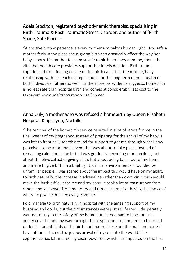## Adela Stockton, registered psychodynamic therapist, specialising in Birth Trauma & Post Traumatic Stress Disorder, and author of 'Birth Space, Safe Place' –

"A positive birth experience is every mother and baby's human right. How safe a mother feels in the place she is giving birth can drastically affect the way her baby is born. If a mother feels most safe to birth her baby at home, then it is vital that health care providers support her in this decision. Birth trauma experienced from feeling unsafe during birth can affect the mother/baby relationship with far reaching implications for the long term mental health of both individuals, fathers as well. Furthermore, as evidence suggests, homebirth is no less safe than hospital birth and comes at considerably less cost to the taxpayer" *www.adelastocktoncounselling.net*

## Anna Culy, a mother who was refused a homebirth by Queen Elizabeth Hospital, Kings Lynn, Norfolk -

"The removal of the homebirth service resulted in a lot of stress for me in the final weeks of my pregnancy. Instead of preparing for the arrival of my baby, I was left to frantically search around for support to get me through what I now perceived to be a traumatic event that was about to take place. Instead of remaining calm about the birth, I was gradually becoming more anxious; not about the physical act of giving birth, but about being taken out of my home and made to give birth in a brightly lit, clinical environment surrounded by unfamiliar people. I was scared about the impact this would have on my ability to birth naturally, the increase in adrenaline rather than oxytocin, which would make the birth difficult for me and my baby. It took a lot of reassurance from others and willpower from me to try and remain calm after having the choice of where to give birth taken away from me.

I did manage to birth naturally in hospital with the amazing support of my husband and doula, but the circumstances were just as I feared. I desperately wanted to stay in the safety of my home but instead had to block out the audience as I made my way through the hospital and try and remain focussed under the bright lights of the birth pool room. These are the main memories I have of the birth, not the joyous arrival of my son into the world. The experience has left me feeling disempowered, which has impacted on the first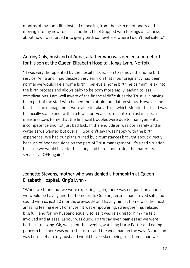months of my son's life. Instead of healing from the birth emotionally and moving into my new role as a mother, I feel trapped with feelings of sadness about how I was forced into giving birth somewhere where I didn't feel safe to"

## Antony Culy, husband of Anna, a father who was denied a homebirth for his son at the Queen Elizabeth Hospital, Kings Lynn, Norfolk -

" I was very disappointed by the hospital's decision to remove the home birth service. Anna and I had decided very early on that if our pregnancy had been normal we would like a home birth. I believe a home birth helps mum relax into the birth process and allows baby to be born more easily leading to less complications. I am well aware of the financial difficulties the Trust is in having been part of the staff who helped them attain foundation status. However the fact that the management were able to take a Trust which Monitor had said was financially stable and, within a few short years, turn it into a Trust in special measures says to me that the financial troubles were due to management's incompetence and not just bad luck. In the end Edison was born safely and in water as we wanted but overall I wouldn't say I was happy with the birth experience. We had our plans ruined by circumstances brought about directly because of poor decisions on the part of Trust management. It's a sad situation because we would have to think long and hard about using the maternity services at QEH again."

## Jeanette Stevens, mother who was denied a homebirth at Queen Elizabeth Hospital, King's Lynn -

"When we found out we were expecting again, there was no question about; we would be having another home birth. Our son, Jensen, had arrived safe and sound with us just 10 months previously and having him at home was the most amazing feeling ever. For myself it was empowering, strengthening, relaxed, blissful...and for my husband equally so, as it was relaxing for him - he felt involved and at ease. Labour was quick, I dare say even painless as we were both just relaxing. Ok, we spent the evening watching Harry Potter and eating popcorn but there was no rush, just us and the wee man on the way. As our son was born at 4 am, my husband would have risked being sent home, had we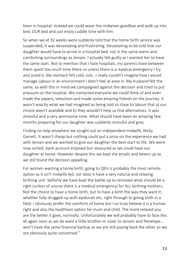been in hospital. Instead we could wave the midwives goodbye and walk up into bed, OUR bed and just enjoy cuddle time with him.

So when we at 32 weeks were suddenly told that the home birth service was suspended, it was devastating and frustrating. Devastating to be told that our daughter would have to arrive in a hospital bed, not in the same warm and comforting surroundings as Jensen. I actually felt guilty as I wanted her to have the same start. Not to mention that I hate hospitals, my parents have between them spent too much time there so unless there is a medical emergency I try and avoid it. My stomach felt cold, sick...I really couldn't imagine how I would manage Labour in an environment I didn't feel at ease in. My husband felt the same, so with this in mind we campaigned against the decision and tried to put pressure on the hospital. We contacted everyone we could think of and even made the papers, television and made some amazing friends on the journey. It wasn't exactly what we had imagined as being told so close to labour that a) our choice wasn't available and b) they wouldn't help us find alternatives. It was stressful and a very worrisome time. What should have been an amazing few months preparing for our daughter was suddenly stressful and grey.

Finding no help anywhere we sought out an independent midwife, Nicky Garrett. It wasn't cheap but nothing could put a price on the experience we had with Jensen and we wanted to give our daughter the best start to life. We were now sorted, bank account emptied but reassured as we could have our daughter at home. However despite this we kept the emails and letters up as we still found the decision appalling.

For women wanting a home birth, going to QEH is probably the most remote option as it isn't midwife led, nor does it have a very natural and relaxing birthing unit. Selfishly we have kept the battle up to reinstate what should be a right (unless of course there is a medical emergency) for ALL birthing mothers. Not the choice to have a home birth, but to have a birth the way they want it; whether fully drugged-up with epidurals etc, right through to giving birth in a field. I obviously prefer the comforts of home but I so truly believe it is a human right and also the healthiest option for mum and child. The more relaxed you are the better it goes, normally. Unfortunately we will probably have to face this all again soon as we do want a little brother or sister to Jensen and Penelope… won't have the same financial backup as we are still paying back the other so we are obviously quite concerned."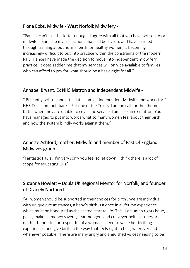## Fiona Ebbs, Midwife - West Norfolk Midwifery -

"Paula, I can't like this letter enough. I agree with all that you have written. As a midwife it sums up my frustrations that all I believe in, and have learned through training about normal birth for healthy women, is becoming increasingly difficult to put into practice within the constraints of the modern NHS. Hence I have made the decision to move into independent midwifery practice. It does sadden me that my services will only be available to families who can afford to pay for what should be a basic right for all."

#### Annabel Bryant, Ex NHS Matron and Independent Midwife -

" Brilliantly written and articulate. I am an Independent Midwife and works for 2 NHS Trusts on their banks. For one of the Trusts, I am on call for their home births when they are unable to cover the service. I am also an ex matron. You have managed to put into words what so many women feel about their birth and how the system blindly works against them."

## Annette Ashford, mother, Midwife and member of East Of England Midwives group -

"Fantastic Paula. I'm very sorry you feel so let down. I think there is a lot of scope for educating GPs"

## Suzanne Howlett – Doula UK Regional Mentor for Norfolk, and founder of Divinely Nurtured -

"All women should be supported in their choices for birth . We are individual with unique circumstances, a baby's birth is a once in a lifetime experience which must be honoured as the sacred start to life. This is a human rights issue, policy makers , money savers , fear mongers and conveyer belt attitudes are neither honouring or respectful of a woman's need to value her birthing experience , and give birth in the way that feels right to her , wherever and whenever possible . There are many angry and anguished voices needing to be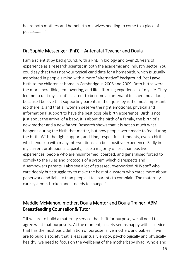heard both mothers and homebirth midwives needing to come to a place of peace.........."

#### Dr. Sophie Messenger (PhD) – Antenatal Teacher and Doula

I am a scientist by background, with a PhD in biology and over 20 years of experience as a research scientist in both the academic and industry sector. You could say that I was not your typical candidate for a homebirth, which is usually associated in people's mind with a more "alternative" background. Yet I gave birth to my children at home in Cambridge in 2006 and 2009. Both births were the more incredible, empowering, and life affirming experiences of my life. They led me to quit my scientific career to become an antenatal teacher and a doula, because I believe that supporting parents in their journey is the most important job there is, and that all women deserve the right emotional, physical and informational support to have the best possible birth experience. Birth is not just about the arrival of a baby, it is about the birth of a family, the birth of a new mother and a new father. Research shows that it is not so much what happens during the birth that matter, but how people were made to feel during the birth. With the right support, and kind, respectful attendants, even a birth which ends up with many interventions can be a positive experience. Sadly in my current professional capacity, I see a majority of less than positive experiences, people who are misinformed, coerced, and generalised forced to comply to the rules and protocols of a system which disrespects and disempowers parents. I also see a lot of stressed, overworked NHS staff who care deeply but struggle try to make the best of a system who cares more about paperwork and liability than people. I tell parents to complain. The maternity care system is broken and it needs to change."

## Maddie McMahon, mother, Doula Mentor and Doula Trainer, ABM Breastfeeding Counsellor & Tutor

" If we are to build a maternity service that is fit for purpose, we all need to agree what that purpose is. At the moment, society seems happy with a service that has the most basic definition of purpose: alive mothers and babies. If we are to build a society that is less spiritually empty, psychologically and physically healthy, we need to focus on the wellbeing of the motherbaby dyad. Whole and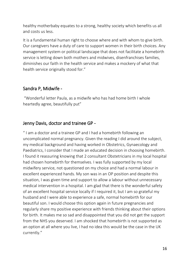healthy motherbaby equates to a strong, healthy society which benefits us all and costs us less.

It is a fundamental human right to choose where and with whom to give birth. Our caregivers have a duty of care to support women in their birth choices. Any management system or political landscape that does not facilitate a homebirth service is letting down both mothers and midwives, disenfranchises families, diminishes our faith in the health service and makes a mockery of what that health service originally stood for."

## Sandra P, Midwife -

"Wonderful letter Paula, as a midwife who has had home birth I whole heartedly agree, beautifully put"

#### Jenny Davis, doctor and trainee GP -

" I am a doctor and a trainee GP and I had a homebirth following an uncomplicated normal pregnancy. Given the reading I did around the subject, my medical background and having worked in Obstetrics, Gynaecology and Paediatrics, I consider that I made an educated decision in choosing homebirth. I found it reassuring knowing that 2 consultant Obstetricians in my local hospital had chosen homebirth for themselves. I was fully supported by my local midwifery service, not questioned on my choice and had a normal labour in excellent experienced hands. My son was in an OP position and despite this situation, I was given time and support to allow a labour without unnecessary medical intervention in a hospital. I am glad that there is the wonderful safety of an excellent hospital service locally if I required it, but I am so grateful my husband and I were able to experience a safe, normal homebirth for our beautiful son. I would choose this option again in future pregnancies and regularly share my positive experience with friends thinking about their options for birth. It makes me so sad and disappointed that you did not get the support from the NHS you deserved. I am shocked that homebirth is not supported as an option at all where you live, I had no idea this would be the case in the UK currently."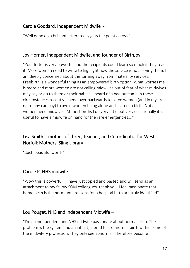## Carole Goddard, Independent Midwife -

"Well done on a brilliant letter, really gets the point across."

#### Joy Horner, Independent Midwife, and founder of BirthJoy –

"Your letter is very powerful and the recipients could learn so much if they read it. More women need to write to highlight how the service is not serving them. I am deeply concerned about the turning away from maternity services. Freebirth is a wonderful thing as an empowered birth option. What worries me is more and more women are not calling midwives out of fear of what midwives may say or do to them or their babies. I heard of a bad outcome in these circumstances recently. I bend over backwards to serve women (and in my area not many can pay) to avoid women being alone and scared in birth. Not all women need midwives. At most births I do very little but very occasionally it is useful to have a midwife on hand for the rare emergencies…."

## Lisa Smith - mother-of-three, teacher, and Co-ordinator for West Norfolk Mothers' Sling Library -

"Such beautiful words"

## Carole P, NHS midwife -

"Wow this is powerful… I have just copied and pasted and will send as an attachment to my fellow SOM colleagues, thank you. I feel passionate that home birth is the norm until reasons for a hospital birth are truly identified".

## Lou Pouget, NHS and Independent Midwife –

"I'm an independent and NHS midwife passionate about normal birth. The problem is the system and an inbuilt, inbred fear of normal birth within some of the midwifery profession. They only see abnormal. Therefore become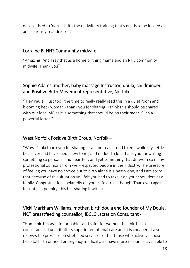desensitised to 'normal'. It's the midwifery training that's needs to be looked at and seriously readdressed."

## Lorraine B, NHS Community midwife -

"Amazing! And I say that as a home birthing mama and an NHS community midwife. Thank you"

## Sophie Adams, mother, baby massage Instructor, doula, childminder, and Positive Birth Movement representative, Norfolk -

" Hey Paula… just took the time to really really read this in a quiet room and blooming heck woman - thank you for sharing! I think this should be shared with our local MP as it is something that should be on their radar. Such a powerful letter."

## West Norfolk Positive Birth Group, Norfolk –

"Wow. Paula thank you for sharing. I sat and read it end to end while my kettle boils over and have shed a few tears, and nodded a lot. Thank you for writing something so personal and heartfelt, and yet something that draws in so many professional opinions from well-respected people in the industry. The pressure of feeling you have no choice but to birth alone is a heavy one, and I am sorry that because of this situation you felt you had to take it on your shoulders as a family. Congratulations belatedly on your safe arrival though. Thank you again for not just penning this but sharing it with us"

## Vicki Markham Williams, mother, birth doula and founder of My Doula, NCT breastfeeding counsellor, IBCLC Lactation Consultant -

"Home birth is as safe for babies and safer for women than birth in a consultant-led unit, it offers superior emotional care and it is cheaper. It also relieves the pressure on stretched services so that those who actively choose hospital birth or need emergency medical care have more resources available to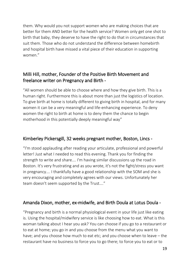them. Why would you not support women who are making choices that are better for them AND better for the health service? Women only get one shot to birth that baby, they deserve to have the right to do that in circumstances that suit them. Those who do not understand the difference between homebirth and hospital birth have missed a vital piece of their education in supporting women."

## Milli Hill, mother, Founder of the Positive Birth Movement and freelance writer on Pregnancy and Birth -

"All women should be able to choose where and how they give birth. This is a human right. Furthermore this is about more than just the logistics of location. To give birth at home is totally different to giving birth in hospital, and for many women it can be a very meaningful and life-enhancing experience. To deny women the right to birth at home is to deny them the chance to begin motherhood in this potentially deeply meaningful way"

## Kimberley Pickersgill, 32 weeks pregnant mother, Boston, Lincs -

"I'm stood applauding after reading your articulate, professional and powerful letter! Just what I needed to read this evening. Thank you for finding the strength to write and share…. I'm having similar discussions up the road in Boston. It's very frustrating and as you wrote, it's not the fight/stress you want in pregnancy…. I thankfully have a good relationship with the SOM and she is very encouraging and completely agrees with our views. Unfortunately her team doesn't seem supported by the Trust…."

## Amanda Dixon, mother, ex-midwife, and Birth Doula at Lotus Doula -

"Pregnancy and birth is a normal physiological event in your life just like eating is. Using the hospital/midwifery service is like choosing how to eat. What is this woman talking about I hear you ask? You can choose if you go to a restaurant or to eat at home; you go in and you choose from the menu what you want to have; and you choose how much to eat etc; and you choose when to leave – the restaurant have no business to force you to go there; to force you to eat or to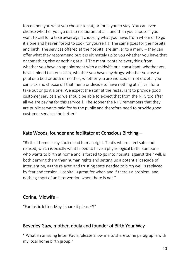force upon you what you choose to eat; or force you to stay. You can even choose whether you go out to restaurant at all - and then you choose if you want to call for a take away again choosing what you have, from whom or to go it alone and heaven forbid to cook for yourself!!! The same goes for the hospital and birth. The services offered at the hospital are similar to a menu – they can offer what they recommend but it is ultimately up to you whether you have that or something else or nothing at all!! The menu contains everything from whether you have an appointment with a midwife or a consultant, whether you have a blood test or a scan, whether you have any drugs, whether you use a pool or a bed or both or neither, whether you are induced or not etc etc. you can pick and choose off that menu or decide to have nothing at all, call for a take out or go it alone. We expect the staff at the restaurant to provide good customer service and we should be able to expect that from the NHS too after all we are paying for this service!!! The sooner the NHS remembers that they are public servants paid for by the public and therefore need to provide good customer services the better."

#### Kate Woods, founder and facilitator at Conscious Birthing –

"Birth at home is my choice and human right. That's where I feel safe and relaxed, which is exactly what I need to have a physiological birth. Someone who wants to birth at home and is forced to go into hospital against their will, is both denying them their human rights and setting up a potential cascade of intervention, as the relaxed and trusting state needed to birth well is replaced by fear and tension. Hospital is great for when and if there's a problem, and nothing short of an intervention when there is not."

#### Corina, Midwife –

"Fantastic letter. May I share it please?!"

## Beverley Gazy, mother, doula and founder of Birth Your Way -

" What an amazing letter Paula, please allow me to share some paragraphs with my local home birth group."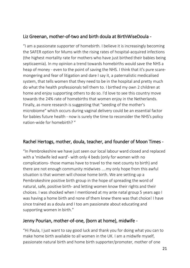## Liz Greenan, mother-of-two and birth doula at BirthWiseDoula -

"I am a passionate supporter of homebirth. I believe it is increasingly becoming the SAFER option for Mums with the rising rates of hospital-acquired infections (the highest mortality rate for mothers who have just birthed their babies being septicaemia). In my opinion a trend towards homebirths would save the NHS a heap of money - even to the point of saving the NHS. I think that it's pure scaremongering and fear of litigation and dare I say it, a paternalistic medicalised system, that tells women that they need to be in the hospital and pretty much do what the health professionals tell them to. I birthed my own 2 children at home and enjoy supporting others to do so. I'd love to see this country move towards the 24% rate of homebirths that women enjoy in the Netherlands. Finally, as more research is suggesting that "seeding of the mother's microbiome" which occurs during vaginal delivery could be an essential factor for babies future health - now is surely the time to reconsider the NHS's policy nation-wide for homebirth? "

## Rachel Hertogs, mother, doula, teacher, and founder of Moon Times -

"In Pembrokeshire we have just seen our local labour ward closed and replaced with a 'midwife led ward'- with only 4 beds (only for women with no complications- those mamas have to travel to the next county to birth) and there are not enough community midwives ....my only hope from this awful situation is that women will choose home birth. We are setting up a Pembrokeshire positive birth group in the hope of spreading the word of natural, safe, positive birth- and letting women know their rights and their choices. I was shocked when I mentioned at my ante natal group 5 years ago I was having a home birth and none of them knew there was that choice! I have since trained as a doula and I too am passionate about educating and supporting women in birth."

## Jenny Pourian, mother-of-one, (born at home), midwife -

"Hi Paula, I just want to say good luck and thank you for doing what you can to make home birth available to all women in the UK. I am a midwife myself, passionate natural birth and home birth supporter/promoter, mother of one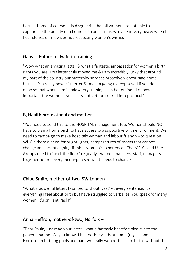born at home of course! It is disgraceful that all women are not able to experience the beauty of a home birth and it makes my heart very heavy when I hear stories of midwives not respecting women's wishes"

## Gaby L, Future midwife-in-training-

"Wow what an amazing letter & what a fantastic ambassador for women's birth rights you are. This letter truly moved me & I am incredibly lucky that around my part of the country our maternity services proactively encourage home births. It's a really powerful letter & one I'm going to keep saved if you don't mind so that when I am in midwifery training I can be reminded of how important the women's voice is & not get too sucked into protocol"

## B, Health professional and mother –

"You need to send this to the HOSPITAL management too, Women should NOT have to plan a home birth to have access to a supportive birth environment. We need to campaign to make hospitals woman and labour friendly - to question WHY is there a need for bright lights, temperatures of rooms that cannot change and lack of dignity (if this is women's experience). The MSLCs and User Groups need to "walk the floor" regularly - women, partners, staff, managers together before every meeting to see what needs to change"

## Chloe Smith, mother-of-two, SW London -

"What a powerful letter, I wanted to shout 'yes!' At every sentence. It's everything I feel about birth but have struggled to verbalise. You speak for many women. It's brilliant Paula"

## Anna Heffron, mother-of-two, Norfolk –

"Dear Paula, Just read your letter, what a fantastic heartfelt plea it is to the powers that be. As you know, I had both my kids at home (my second in Norfolk), in birthing pools and had two really wonderful, calm births without the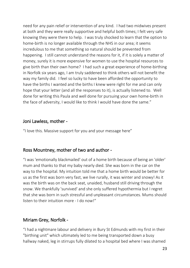need for any pain relief or intervention of any kind. I had two midwives present at both and they were really supportive and helpful both times; I felt very safe knowing they were there to help. I was truly shocked to learn that the option to home-birth is no longer available through the NHS in our area; it seems incredulous to me that something so natural should be prevented from happening. I still cannot understand the reasons for it, if it is solely a matter of money, surely it is more expensive for women to use the hospital resources to give birth than their own home? I had such a great experience of home-birthing in Norfolk six years ago, I am truly saddened to think others will not benefit the way my family did. I feel so lucky to have been afforded the opportunity to have the births I wanted and the births I knew were right for me and can only hope that your letter (and all the responses to it), is actually listened to. Well done for writing this Paula and well done for pursuing your own home-birth in the face of adversity, I would like to think I would have done the same."

#### Joni Lawless, mother -

"I love this. Massive support for you and your message here"

## Ross Mountney, mother of two and author -

"I was 'emotionally blackmailed' out of a home birth because of being an 'older' mum and thanks to that my baby nearly died. She was born in the car on the way to the hospital. My intuition told me that a home birth would be better for us as the first was born very fast, we live rurally, it was winter and snowy! As it was the birth was on the back seat, unaided, husband still driving through the snow. We thankfully 'survived' and she only suffered hypothermia but I regret that she was born in such stressful and unpleasant circumstances. Mums should listen to their intuition more - I do now!"

## Miriam Grey, Norfolk -

"I had a nightmare labour and delivery in Bury St Edmunds with my first in their "birthing unit" which ultimately led to me being transported down a busy hallway naked, leg in stirrups fully dilated to a hospital bed where I was shamed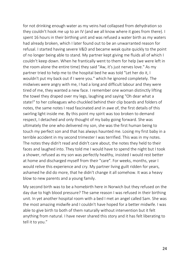for not drinking enough water as my veins had collapsed from dehydration so they couldn't hook me up to an IV (and we all know where it goes from there). I spent 16 hours in their birthing unit and was refused a water birth as my waters had already broken, which I later found out to be an unwarranted reason for refusal. I started having severe V&D and became weak quite quickly to the point of no longer being able to stand. My partner kept giving me fluids all of which I couldn't keep down. When he frantically went to them for help (we were left in the room alone the entire time) they said "Aw, it's just nerves love." As my partner tried to help me to the hospital bed he was told "Let her do it, I wouldn't put my back out if I were you." which he ignored completely. The midwives were angry with me, I had a long and difficult labour and they were tired of me, they wanted a new face. I remember one woman distinctly lifting the towel they draped over my legs, laughing and saying "Oh dear what a state!" to her colleagues who chuckled behind their clip boards and folders of notes, the same notes I read fascinated and in awe of, the first details of this swirling light inside me. By this point my spirit was too broken to demand respect, I detached and only thought of my baby going forward. She was ultimately the one who delivered my son, she was the first human being to touch my perfect son and that has always haunted me. Losing my first baby in a terrible accident in my second trimester I was terrified. This was in my notes. The notes they didn't read and didn't care about, the notes they held to their faces and laughed into. They told me I would have to spend the night but I took a shower, refused as my son was perfectly healthy, insisted I would rest better at home and discharged myself from their "care". For weeks, months, year I would relive this experience and cry. My partner living guilt ridden for years, ashamed he did do more, that he didn't change it all somehow. It was a heavy blow to new parents and a young family.

My second birth was to be a homebirth here in Norwich but they refused on the day due to high blood pressure? The same reason I was refused in their birthing unit. In yet another hospital room with a bed I met an angel called Sam. She was the most amazing midwife and I couldn't have hoped for a better midwife. I was able to give birth to both of them naturally without intervention but it felt anything from natural. I have never shared this story and it has felt liberating to tell it to you."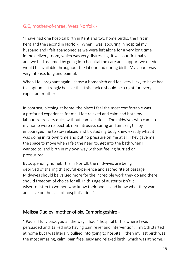## G.C, mother-of-three, West Norfolk -

"I have had one hospital birth in Kent and two home births; the first in Kent and the second in Norfolk. When I was labouring in hospital my husband and I felt abandoned as we were left alone for a very long time in the delivery room, which was very distressing. It was our first baby and we had assumed by going into hospital the care and support we needed would be available throughout the labour and during birth. My labour was very intense, long and painful.

When I fell pregnant again I chose a homebirth and feel very lucky to have had this option. I strongly believe that this choice should be a right for every expectant mother.

In contrast, birthing at home, the place I feel the most comfortable was a profound experience for me. I felt relaxed and calm and both my labours were very quick without complications. The midwives who came to my home were respectful, non-intrusive, caring and amazing! They encouraged me to stay relaxed and trusted my body knew exactly what it was doing in its own time and put no pressure on me at all. They gave me the space to move when I felt the need to, get into the bath when I wanted to, and birth in my own way without feeling hurried or pressurized.

By suspending homebirths in Norfolk the midwives are being deprived of sharing this joyful experience and sacred rite of passage. Midwives should be valued more for the incredible work they do and there should freedom of choice for all. In this age of austerity isn't it wiser to listen to women who know their bodies and know what they want and save on the cost of hospitalization."

## Melissa Dudley, mother-of-six, Cambridgeshire -

" Paula, I fully back you all the way. I had 4 hospital births where I was persuaded and talked into having pain relief and intervention… my 5th started at home but I was literally bullied into going to hospital… then my last birth was the most amazing, calm, pain free, easy and relaxed birth, which was at home. I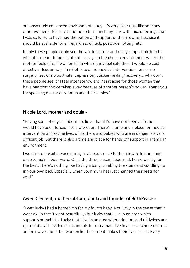am absolutely convinced environment is key. It's very clear (just like so many other women) I felt safe at home to birth my baby! It is with mixed feelings that I was so lucky to have had the option and support of the midwife, because it should be available for all regardless of luck, postcode, lottery, etc.

If only these people could see the whole picture and really support birth to be what it is meant to be – a rite of passage in the chosen environment where the mother feels safe. If women birth where they feel safe then it would be cost effective - less or no pain relief, less or no medical intervention, less or no surgery, less or no postnatal depression, quicker healing/recovery… why don't these people see it? I feel utter sorrow and heart ache for those women that have had that choice taken away because of another person's power. Thank you for speaking out for all women and their babies."

## Nicole Lord, mother and doula -

"Having spent 4 days in labour I believe that if I'd have not been at home I would have been forced into a C-section. There's a time and a place for medical intervention and saving lives of mothers and babies who are in danger is a very difficult job. But there is also a time and place for hands off support in a familiar environment.

I went in to hospital twice during my labour, once to the midwife led unit and once to main labour ward. Of all the three places I laboured, home was by far the best. There's nothing like having a baby, climbing the stairs and cuddling up in your own bed. Especially when your mum has just changed the sheets for you!"

#### Awen Clement, mother-of-four, doula and founder of BirthPeace -

"I was lucky I had a homebirth for my fourth baby. Not lucky in the sense that it went ok (in fact it went beautifully) but lucky that I live in an area which supports homebirth. Lucky that I live in an area where doctors and midwives are up to date with evidence around birth. Lucky that I live in an area where doctors and midwives don't tell women lies because it makes their lives easier. Every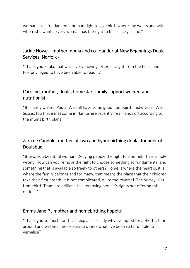woman has a fundamental human right to give birth where she wants and with whom she wants. Every woman has the right to be as lucky as me."

## Jackie Howe – mother, doula and co-founder at New Beginnings Doula Services, Norfolk -

"Thank you Paula, that was a very moving letter, straight from the heart and I feel privileged to have been able to read it."

## Caroline, mother, doula, homestart family support worker, and nutritionist -

"Brilliantly written Paula. We still have some good homebirth midwives in West Sussex too (have met some in Hampshire recently, real hands off according to the mums birth plans)…."

## Zara de Candole, mother-of-two and hypnobirthing doula, founder of Doulabud

"Bravo, you beautiful woman. Denying people the right to a homebirth is simply wrong. How can you remove the right to choose something so fundamental and something that is available so freely to others? Home is where the heart is, it is where the family belongs and for many, that means the place that their children take their first breath. It is not complicated, quite the reverse! The Surrey Hills Homebirth Team are brilliant. It is removing people's rights not offering this option. "

## Emma-Jane P , mother and homebirthing hopeful

"Thank you so much for this. It explains exactly why I've opted for a HB this time around and will help me explain to others what I've been so far unable to verbalise"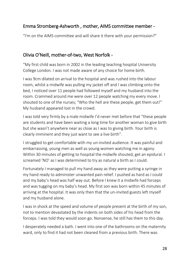## Emma Stromberg-Ashworth , mother, AIMS committee member -

"I'm on the AIMS committee and will share it there with your permission?"

## Olivia O'Neill, mother-of-two, West Norfolk -

"My first child was born in 2002 in the leading teaching hospital University College London. I was not made aware of any choice for home birth.

I was 9cm dilated on arrival to the hospital and was rushed into the labour room, whilst a midwife was pulling my jacket off and I was climbing onto the bed, I noticed over 11 people had followed myself and my husband into the room. Crammed around me were over 12 people watching my every move. I shouted to one of the nurses; "Who the hell are these people, get them out!" My husband appeared lost in the crowd.

I was told very firmly by a male midwife I'd never met before that "these people are students and have been waiting a long time for another woman to give birth but she wasn't anywhere near as close as I was to giving birth. Your birth is clearly imminent and they just want to see a live birth".

I struggled to get comfortable with my un-invited audience. It was painful and embarrassing, young men as well as young women watching me in agony. Within 30 minutes of getting to hospital the midwife shouted, get an epidural. I screamed 'NO' as I was determined to try as natural a birth as I could.

Fortunately I managed to pull my hand away as they were putting a syringe in my hand ready to administer unwanted pain relief. I pushed as hard as I could and my baby's head was half way out. Before I knew it a midwife had forceps and was tugging on my baby's head. My first son was born within 45 minutes of arriving at the hospital. It was only then that the un-invited guests left myself and my husband alone.

I was in shock at the speed and volume of people present at the birth of my son, not to mention devastated by the indents on both sides of his head from the forceps. I was told they would soon go. Nonsense, he still has them to this day.

I desperately needed a bath. I went into one of the bathrooms on the maternity ward, only to find it had not been cleaned from a previous birth. There was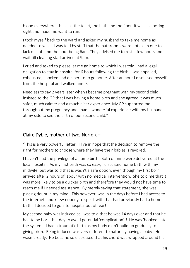blood everywhere, the sink, the toilet, the bath and the floor. It was a shocking sight and made me want to run.

I took myself back to the ward and asked my husband to take me home as I needed to wash. I was told by staff that the bathrooms were not clean due to lack of staff and the hour being 6am. They advised me to rest a few hours and wait till cleaning staff arrived at 9am.

I cried and asked to please let me go home to which I was told I had a legal obligation to stay in hospital for 6 hours following the birth. I was appalled, exhausted, shocked and desperate to go home. After an hour I dismissed myself from the hospital and walked home.

Needless to say 2 years later when I became pregnant with my second child I insisted to the GP that I was having a home birth and she agreed it was much safer, much calmer and a much nicer experience. My GP supported me throughout my pregnancy and I had a wonderful experience with my husband at my side to see the birth of our second child."

## Claire Dyble, mother-of-two, Norfolk –

"This is a very powerful letter. I live in hope that the decision to remove the right for mothers to choose where they have their babies is revoked.

I haven't had the privilege of a home birth. Both of mine were delivered at the local hospital. As my first birth was so easy, I discussed home birth with my midwife, but was told that is wasn't a safe option, even though my first born arrived after 2 hours of labour with no medical intervention. She told me that it was more likely to be a quicker birth and therefore they would not have time to reach me if I needed assistance. By merely saying that statement, she was placing doubt in my mind. This however, was in the days before I had access to the internet, and knew nobody to speak with that had previously had a home birth. I decided to go into hospital out of fear!!

My second baby was induced as I was told that he was 14 days over and that he had to be born that day to avoid potential 'complication'!! He was 'booked' into the system. I had a traumatic birth as my body didn't build up gradually to giving birth. Being induced was very different to naturally having a baby. He wasn't ready. He became so distressed that his chord was wrapped around his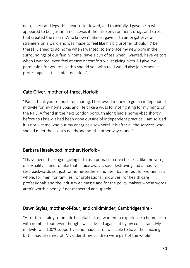neck, chest and legs. His heart rate slowed, and thankfully, I gave birth what appeared to be, 'just in time'.....was it the false environment, drugs and stress that created the risk?? Who knows? I almost gave birth amongst several strangers on a ward and was made to feel like his big brother 'shouldn't' be there!! Denied to go home when I wanted, to embrace my new born in the surroundings of our family home, have a cup of tea when I wanted, have visitors when I wanted, even feel at ease or comfort whilst giving birth!! I give my permission for you to use this should you wish to. I would also join others in protest against this unfair decision."

## Cate Oliver, mother-of-three, Norfolk -

"Paula thank you so much for sharing. I borrowed money to get an independent midwife for my home vbac and I felt like a wuss for not fighting for my rights on the NHS. A friend in the next London borough along had a home vbac shortly before so I knew it had been done outside of independent practice. I am so glad it is not just me who put my energies elsewhere! It is after all the services who should meet the client's needs and not the other way round."

## Barbara Hazelwood, mother, Norfolk -

"I have been thinking of giving birth as a primal or core choice .... like the vote, or sexuality ... and to take that choice away is soul destroying and a massive step backwards not just for home-birthers and their babies, but for women as a whole, for men, for families, for professional midwives, for health care professionals and the industry en masse and for the policy makers whose words aren't worth a penny if not respected and upheld...."

## Dawn Styles, mother-of-four, and childminder, Cambridgeshire -

"After three fairly traumatic hospital births I wanted to experience a home birth with number four, even though I was advised against it by my consultant. My midwife was 100% supportive and made sure I was able to have the amazing birth I had dreamed of. My older three children were part of the whole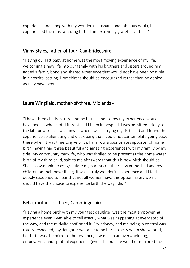experience and along with my wonderful husband and fabulous doula, I experienced the most amazing birth. I am extremely grateful for this. "

#### Vinny Styles, father-of-four, Cambridgeshire -

"Having our last baby at home was the most moving experience of my life, welcoming a new life into our family with his brothers and sisters around him added a family bond and shared experience that would not have been possible in a hospital setting. Homebirths should be encouraged rather than be denied as they have been."

## Laura Wingfield, mother-of-three, Midlands -

"I have three children, three home births, and I know my experience would have been a whole lot different had I been in hospital. I was admitted briefly to the labour ward as I was unwell when I was carrying my first child and found the experience so alienating and distressing that I could not contemplate going back there when it was time to give birth. I am now a passionate supporter of home birth, having had three beautiful and amazing experiences with my family by my side. My community midwife, who was thrilled to be present at the home water birth of my third child, said to me afterwards that this is how birth should be. She also was able to congratulate my parents on their new grandchild and my children on their new sibling. It was a truly wonderful experience and I feel deeply saddened to hear that not all women have this option. Every woman should have the choice to experience birth the way I did."

## Bella, mother-of-three, Cambridgeshire -

"Having a home birth with my youngest daughter was the most empowering experience ever, I was able to tell exactly what was happening at every step of the way, and the midwife confirmed it. My privacy, and me being in control was totally respected, my daughter was able to be born exactly when she wanted, her birth was the mirror of her essence, it was such an overwhelming, empowering and spiritual experience (even the outside weather mirrored the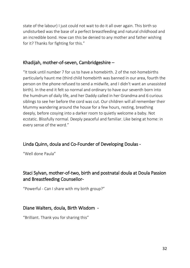state of the labour) I just could not wait to do it all over again. This birth so undisturbed was the base of a perfect breastfeeding and natural childhood and an incredible bond. How can this be denied to any mother and father wishing for it? Thanks for fighting for this."

## Khadijah, mother-of-seven, Cambridgeshire –

"It took until number 7 for us to have a homebirth. 2 of the not-homebirths particularly haunt me (third child homebirth was banned in our area, fourth the person on the phone refused to send a midwife, and I didn't want an unassisted birth). In the end it felt so normal and ordinary to have our seventh born into the humdrum of daily life, and her Daddy called in her Grandma and 6 curious siblings to see her before the cord was cut. Our children will all remember their Mummy wandering around the house for a few hours, resting, breathing deeply, before cosying into a darker room to quietly welcome a baby. Not ecstatic. Blissfully normal. Deeply peaceful and familiar. Like being at home: in every sense of the word."

## Linda Quinn, doula and Co-Founder of Developing Doulas -

"Well done Paula"

## Staci Sylvan, mother-of-two, birth and postnatal doula at Doula Passion and Breastfeeding Counsellor-

"Powerful - Can I share with my birth group?"

## Diane Walters, doula, Birth Wisdom -

"Brilliant. Thank you for sharing this"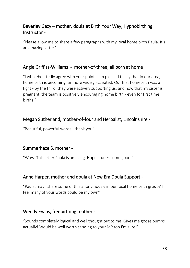## Beverley Gazy – mother, doula at Birth Your Way, Hypnobirthing Instructor -

"Please allow me to share a few paragraphs with my local home birth Paula. It's an amazing letter"

## Angie Griffiss-Williams - mother-of-three, all born at home

"I wholeheartedly agree with your points. I'm pleased to say that in our area, home birth is becoming far more widely accepted. Our first homebirth was a fight - by the third, they were actively supporting us, and now that my sister is pregnant, the team is positively encouraging home birth - even for first time births!"

## Megan Sutherland, mother-of-four and Herbalist, Lincolnshire -

"Beautiful, powerful words - thank you"

## Summerhaze S, mother -

"Wow. This letter Paula is amazing. Hope it does some good."

## Anne Harper, mother and doula at New Era Doula Support -

"Paula, may I share some of this anonymously in our local home birth group? I feel many of your words could be my own"

## Wendy Evans, freebirthing mother -

"Sounds completely logical and well thought out to me. Gives me goose bumps actually! Would be well worth sending to your MP too I'm sure!"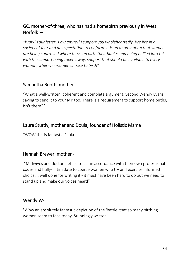## GC, mother-of-three, who has had a homebirth previously in West Norfolk –

*"Wow! Your letter is dynamite!! I support you wholeheartedly. We live in a society of fear and an expectation to conform. It is an abomination that women are being controlled where they can birth their babies and being bullied into this with the support being taken away, support that should be available to every woman, wherever women choose to birth"*

## Samantha Booth, mother -

"What a well-written, coherent and complete argument. Second Wendy Evans saying to send it to your MP too. There is a requirement to support home births, isn't there?"

## Laura Sturdy, mother and Doula, founder of Holistic Mama

"WOW this is fantastic Paula!"

## Hannah Brewer, mother -

"Midwives and doctors refuse to act in accordance with their own professional codes and bully/ intimidate to coerce women who try and exercise informed choice…. well done for writing it - it must have been hard to do but we need to stand up and make our voices heard"

## Wendy W-

"Wow an absolutely fantastic depiction of the 'battle' that so many birthing women seem to face today. Stunningly written"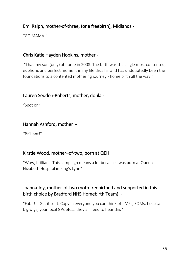## Emi Ralph, mother-of-three, (one freebirth), Midlands -

"GO MAMA!"

## Chris Katie Hayden Hopkins, mother -

"I had my son (only) at home in 2008. The birth was the single most contented, euphoric and perfect moment in my life thus far and has undoubtedly been the foundations to a contented mothering journey - home birth all the way!"

## Lauren Seddon-Roberts, mother, doula -

"Spot on"

## Hannah Ashford, mother -

"Brilliant!"

## Kirstie Wood, mother–of-two, born at QEH

"Wow, brilliant! This campaign means a lot because I was born at Queen Elizabeth Hospital in King's Lynn"

## Joanna Joy, mother-of-two (both freebirthed and supported in this birth choice by Bradford NHS Homebirth Team) -

"Fab !! - Get it sent. Copy in everyone you can think of - MPs, SOMs, hospital big wigs, your local GPs etc.... they all need to hear this "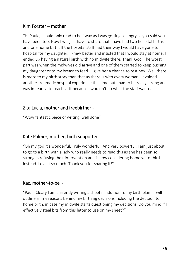#### Kim Forster – mother

"Hi Paula, I could only read to half way as I was getting so angry as you said you have been too. Now I will just have to share that I have had two hospital births and one home birth. If the hospital staff had their way I would have gone to hospital for my daughter. I knew better and insisted that I would stay at home. I ended up having a natural birth with no midwife there. Thank God. The worst part was when the midwives did arrive and one of them started to keep pushing my daughter onto my breast to feed.....give her a chance to rest hey! Well there is more to my birth story than that as there is with every woman. I avoided another traumatic hospital experience this time but I had to be really strong and was in tears after each visit because I wouldn't do what the staff wanted."

#### Zita Lucia, mother and freebirther -

"Wow fantastic piece of writing, well done"

#### Kate Palmer, mother, birth supporter -

"Oh my god it's wonderful. Truly wonderful. And very powerful. I am just about to go to a birth with a lady who really needs to read this as she has been so strong in refusing their intervention and is now considering home water birth instead. Love it so much. Thank you for sharing it!"

## Kaz, mother-to-be -

"Paula Cleary I am currently writing a sheet in addition to my birth plan. It will outline all my reasons behind my birthing decisions including the decision to home birth, in case my midwife starts questioning my decisions. Do you mind if I effectively steal bits from this letter to use on my sheet?"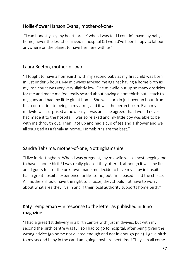## Hollie-flower Hanson Evans , mother-of-one-

"I can honestly say my heart 'broke' when I was told I couldn't have my baby at home, never the less she arrived in hospital & I would've been happy to labour anywhere on the planet to have her here with us"

## Laura Beeton, mother-of-two -

" I fought to have a homebirth with my second baby as my first child was born in just under 3 hours. My midwives advised me against having a home birth as my iron count was very very slightly low. One midwife put up so many obsticles for me and made me feel really scared about having a homebirth but I stuck to my guns and had my little girl at home. She was born in just over an hour, from first contraction to being in my arms, and it was the perfect birth. Even my midwife was surprised at how easy it was and she agreed that I would never had made it to the hospital. I was so relaxed and my little boy was able to be with me through out. Then I got up and had a cup of tea and a shower and we all snuggled as a family at home.. Homebirths are the best."

## Sandra Tahzima, mother-of-one, Nottinghamshire

"I live in Nottingham. When I was pregnant, my midwife was almost begging me to have a home birth! I was really pleased they offered, although it was my first and I guess fear of the unknown made me decide to have my baby in hospital. I had a great hospital experience (unlike some) but I'm pleased I had the choice. All mothers should have the right to choose, they should not have to worry about what area they live in and if their local authority supports home birth."

## Katy Templeman – in response to the letter as published in Juno magazine

"I had a great 1st delivery in a birth centre with just midwives, but with my second the birth centre was full so I had to go to hospital, after being given the wrong advice (go home not dilated enough and not in enough pain). I gave birth to my second baby in the car. I am going nowhere next time! They can all come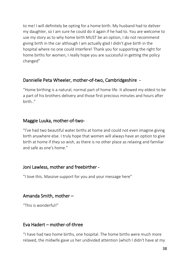to me! I will definitely be opting for a home birth. My husband had to deliver my daughter, so I am sure he could do it again if he had to. You are welcome to use my story as to why home birth MUST be an option, I do not recommend giving birth in the car although I am actually glad I didn't give birth in the hospital where no one could interfere! Thank you for supporting the right for home births for women, I really hope you are successful in getting the policy changed"

## Dannielle Peta Wheeler, mother-of-two, Cambridgeshire -

"Home birthing is a natural, normal part of home life. It allowed my eldest to be a part of his brothers delivery and those first precious minutes and hours after birth.."

#### Maggie Luuka, mother-of-two-

"I've had two beautiful water births at home and could not even imagine giving birth anywhere else. I truly hope that women will always have an option to give birth at home if they so wish, as there is no other place as relaxing and familiar and safe as one's home."

#### Joni Lawless, mother and freebirther -

"I love this. Massive support for you and your message here"

## Amanda Smith, mother –

"This is wonderful!"

## Eva Hadert – mother-of-three

"I have had two home births, one hospital. The home births were much more relaxed, the midwife gave us her undivided attention (which I didn't have at my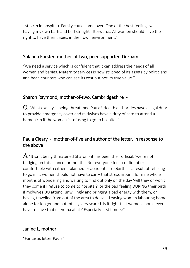1st birth in hospital). Family could come over. One of the best feelings was having my own bath and bed straight afterwards. All women should have the right to have their babies in their own environment."

#### Yolanda Forster, mother-of-two, peer supporter, Durham -

"We need a service which is confident that it can address the needs of all women and babies. Maternity services is now stripped of its assets by politicians and bean counters who can see its cost but not its true value."

## Sharon Raymond, mother-of-two, Cambridgeshire -

 $Q$  "What exactly is being threatened Paula? Health authorities have a legal duty to provide emergency cover and midwives have a duty of care to attend a homebirth if the woman is refusing to go to hospital."

## Paula Cleary - mother-of-five and author of the letter, in response to the above

 ${\rm A}$  "It isn't being threatened Sharon - it has been their official, 'we're not budging on this' stance for months. Not everyone feels confident or comfortable with either a planned or accidental freebirth as a result of refusing to go in.... women should not have to carry that stress around for nine whole months of wondering and waiting to find out only on the day 'will they or won't they come if I refuse to come to hospital?' or the bad feeling DURING their birth if midwives DO attend, unwillingly and bringing a bad energy with them, or having travelled from out of the area to do so... Leaving women labouring home alone for longer and potentially very scared. Is it right that women should even have to have that dilemma at all? Especially first timers?"

## Janine L, mother -

"Fantastic letter Paula"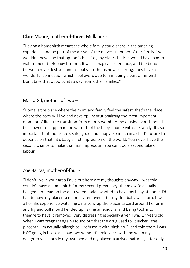## Clare Moore, mother-of-three, Midlands -

"Having a homebirth meant the whole family could share in the amazing experience and be part of the arrival of the newest member of our family. We wouldn't have had that option is hospital, my older children would have had to wait to meet their baby brother. It was a magical experience, and the bond between my oldest son and his baby brother is now so strong, they have a wonderful connection which I believe is due to him being a part of his birth. Don't take that opportunity away from other families."

## Marta Gil, mother-of-two –

"Home is the place where the mum and family feel the safest, that's the place where the baby will live and develop. Institutionalizing the most important moment of life - the transition from mum's womb to the outside world should be allowed to happen in the warmth of the baby's home with the family. It's so important that mums feels safe, good and happy. So much in a child's future life depends on that - it's baby's first impression on the world. You never have the second chance to make that first impression. You can't do a second take of labour."

## Zoe Barras, mother-of-four -

"I don't live in your area Paula but here are my thoughts anyway. I was told I couldn't have a home birth for my second pregnancy, the midwife actually banged her head on the desk when I said I wanted to have my baby at home. I'd had to have my placenta manually removed after my first baby was born, it was a horrific experience watching a nurse wrap the placenta cord around her arm and try and pull it out! I ended up having an epidural and being took into theatre to have it removed. Very distressing especially given I was 17 years old. When I was pregnant again I found out that the drug used to "quicken" the placenta, I'm actually allergic to. I refused it with birth no 2, and told them I was NOT going in hospital. I had two wonderful midwives with me when my daughter was born in my own bed and my placenta arrived naturally after only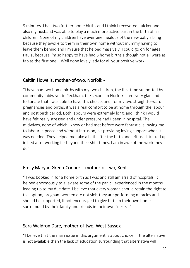9 minutes. I had two further home births and I think I recovered quicker and also my husband was able to play a much more active part in the birth of his children. None of my children have ever been jealous of the new baby sibling because they awoke to them in their own home without mummy having to leave them behind and I'm sure that helped massively. I could go on for ages Paula, because I'm so happy to have had 3 home births although not all were as fab as the first one... Well done lovely lady for all your positive work"

#### Caitlin Howells, mother-of-two, Norfolk -

"I have had two home births with my two children, the first time supported by community midwives in Peckham, the second in Norfolk. I feel very glad and fortunate that I was able to have this choice, and, for my two straightforward pregnancies and births, it was a real comfort to be at home through the labour and post birth period. Both labours were extremely long, and I think I would have felt really stressed and under pressure had I been in hospital. The midwives, none of which I knew or had met before were fantastic, allowing me to labour in peace and without intrusion, bit providing loving support when it was needed. They helped me take a bath after the birth and left us all tucked up in bed after working far beyond their shift times. I am in awe of the work they do"

## Emily Maryan Green-Cooper - mother-of-two, Kent

" I was booked in for a home birth as I was and still am afraid of hospitals. It helped enormously to alleviate some of the panic I experienced in the months leading up to my due date. I believe that every woman should retain the right to this option, pregnant women are not sick, they are performing miracles and should be supported, if not encouraged to give birth in their own homes surrounded by their family and friends in their own "nests"."

## Sara Waldron Dare, mother-of-two, West Sussex

"I believe that the main issue in this argument is about choice. If the alternative is not available then the lack of education surrounding that alternative will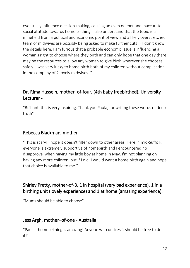eventually influence decision-making, causing an even deeper and inaccurate social attitude towards home birthing. I also understand that the topic is a minefield from a political and economic point of view and a likely overstretched team of midwives are possibly being asked to make further cuts?? I don't know the details here. I am furious that a probable economic issue is influencing a woman's right to choose where they birth and can only hope that one day there may be the resources to allow any woman to give birth wherever she chooses safely. I was very lucky to home birth both of my children without complication in the company of 2 lovely midwives. "

## Dr. Rima Hussein, mother–of-four, (4th baby freebirthed), University Lecturer -

"Brilliant, this is very inspiring. Thank you Paula, for writing these words of deep truth"

## Rebecca Blackman, mother -

"This is scary! I hope it doesn't filter down to other areas. Here in mid-Suffolk, everyone is extremely supportive of homebirth and I encountered no disapproval when having my little boy at home in May. I'm not planning on having any more children, but if I did, I would want a home birth again and hope that choice is available to me."

## Shirley Pretty, mother-of-3, 1 in hospital (very bad experience), 1 in a birthing unit (lovely experience) and 1 at home (amazing experience).

"Mums should be able to choose"

## Jess Argh, mother–of-one - Australia

"Paula - homebirthing is amazing! Anyone who desires it should be free to do it!"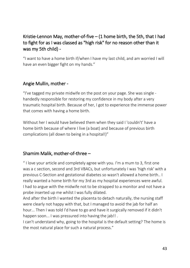## Kristie-Lennon May, mother-of-five  $-$  (1 home birth, the 5th, that I had to fight for as I was classed as "high risk" for no reason other than it was my 5th child) -

"I want to have a home birth if/when I have my last child, and am worried I will have an even bigger fight on my hands."

## Angie Mullin, mother -

"I've tagged my private midwife on the post on your page. She was single handedly responsible for restoring my confidence in my body after a very traumatic hospital birth. Because of her, I got to experience the immense power that comes with having a home birth.

Without her I would have believed them when they said I 'couldn't' have a home birth because of where I live (a boat) and because of previous birth complications (all down to being in a hospital!)"

## Shamim Malik, mother-of-three –

" I love your article and completely agree with you. I'm a mum to 3, first one was a c section, second and 3rd VBACs, but unfortunately I was 'high risk' with a previous C-Section and gestational diabetes so wasn't allowed a home birth.. I really wanted a home birth for my 3rd as my hospital experiences were awful. I had to argue with the midwife not to be strapped to a monitor and not have a probe inserted up me whilst I was fully dilated.

And after the birth I wanted the placenta to detach naturally, the nursing staff were clearly not happy with that, but I managed to avoid the jab for half an hour... Then I was told I'd have to go and have it surgically removed if it didn't happen soon... I was pressured into having the jab!! .

I can't understand why, going to the hospital is the default setting? The home is the most natural place for such a natural process."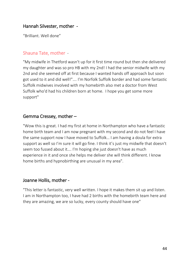#### Hannah Silvester, mother -

"Brilliant. Well done"

#### Shauna Tate, mother -

"My midwife in Thetford wasn't up for it first time round but then she delivered my daughter and was so pro HB with my 2nd! I had the senior midwife with my 2nd and she seemed off at first because I wanted hands off approach but soon got used to it and did well!"…. I'm Norfolk Suffolk border and had some fantastic Suffolk midwives involved with my homebirth also met a doctor from West Suffolk who'd had his children born at home. I hope you get some more support"

#### Gemma Cressey, mother –

"Wow this is great. I had my first at home in Northampton who have a fantastic home birth team and I am now pregnant with my second and do not feel I have the same support now I have moved to Suffolk… I am having a doula for extra support as well so I'm sure it will go fine. I think it's just my midwife that doesn't seem too fussed about it…. I'm hoping she just doesn't have as much experience in it and once she helps me deliver she will think different. I know home births and hypnobirthing are unusual in my area".

#### Joanne Hollis, mother -

"This letter is fantastic, very well written. I hope it makes them sit up and listen. I am in Northampton too, I have had 2 births with the homebirth team here and they are amazing, we are so lucky, every county should have one"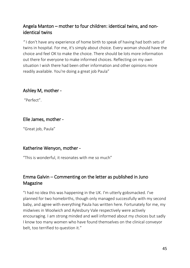## Angela Manton – mother to four children: identical twins, and nonidentical twins

*"* I don't have any experience of home birth to speak of having had both sets of twins in hospital. For me, it's simply about choice. Every woman should have the choice and feel OK to make the choice. There should be lots more information out there for everyone to make informed choices. Reflecting on my own situation I wish there had been other information and other opinions more readily available. You're doing a great job Paula"

## Ashley M, mother -

"Perfect".

## Elle James, mother -

"Great job, Paula"

## Katherine Wenyon, mother -

"This is wonderful, it resonates with me so much"

## Emma Galvin – Commenting on the letter as published in Juno Magazine

"I had no idea this was happening in the UK. I'm utterly gobsmacked. I've planned for two homebirths, though only managed successfully with my second baby, and agree with everything Paula has written here. Fortunately for me, my midwives in Woolwich and Aylesbury Vale respectively were actively encouraging. I am strong minded and well informed about my choices but sadly I know too many women who have found themselves on the clinical conveyor belt, too terrified to question it."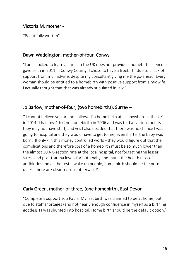## Victoria M, mother -

"Beautifully written".

## Dawn Waddington, mother-of-four, Conwy –

"I am shocked to learn an area in the UK does not provide a homebirth service! I gave birth in 2011 in Conwy County. I chose to have a freebirth due to a lack of support from my midwife, despite my consultant giving me the go-ahead. Every woman should be entitled to a homebirth with positive support from a midwife. I actually thought that that was already stipulated in law."

## Jo Barlow, mother-of-four, (two homebirths), Surrey –

" I cannot believe you are not 'allowed' a home birth at all anywhere in the UK in 2014! I had my 4th (2nd homebirth) in 2006 and was told at various points they may not have staff, and yes I also decided that there was no chance I was going to hospital and they would have to get to me, even if after the baby was born! If only - in this money controlled world - they would figure out that the complications and therefore cost of a homebirth must be so much lower than the almost 30% C-section rate at the local hospital, not forgetting the lesser stress and post trauma levels for both baby and mum, the health risks of antibiotics and all the rest... wake up people, home birth should be the norm unless there are clear reasons otherwise!"

## Carly Green, mother-of-three, (one homebirth), East Devon -

"Completely support you Paula. My last birth was planned to be at home, but due to staff shortages (and not nearly enough confidence in myself as a birthing goddess ) I was shunted into hospital. Home birth should be the default option."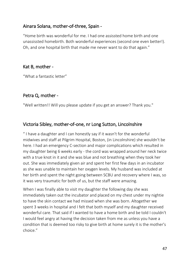## Ainara Solana, mother-of-three, Spain -

"Home birth was wonderful for me. I had one assissted home birth and one unassissted homebirth. Both wonderful experiences (second one even better!). Oh, and one hospital birth that made me never want to do that again."

#### Kat B, mother -

"What a fantastic letter"

## Petra Q, mother -

"Well written!! Will you please update if you get an answer? Thank you."

## Victoria Sibley, mother-of-one, nr Long Sutton, Lincolnshire

" I have a daughter and I can honestly say if it wasn't for the wonderful midwives and staff at Pilgrim Hospital, Boston, (in Lincolnshire) she wouldn't be here. I had an emergency C-section and major complications which resulted in my daughter being 6 weeks early - the cord was wrapped around her neck twice with a true knot in it and she was blue and not breathing when they took her out. She was immediately given air and spent her first few days in an incubator as she was unable to maintain her oxygen levels. My husband was included at her birth and spent the night going between SCBU and recovery where I was, so it was very traumatic for both of us, but the staff were amazing.

When I was finally able to visit my daughter the following day she was immediately taken out the incubator and placed on my chest under my nightie to have the skin contact we had missed when she was born. Altogether we spent 3 weeks in hospital and I felt that both myself and my daughter received wonderful care. That said if I wanted to have a home birth and be told I couldn't I would feel angry at having the decision taken from me as unless you have a condition that is deemed too risky to give birth at home surely it is the mother's choice."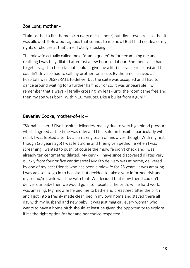## Zoe Lunt, mother -

"I almost had a first home birth (very quick labour) but didn't even realise that it was allowed!!! How outrageous that sounds to me now! But I had no idea of my rights or choices at that time. Totally shocking!

The midwife actually called me a "drama queen" before examining me and realising I was fully dilated after just a few hours of labour. She then said I had to get straight to hospital but couldn't give me a lift (insurance reasons) and I couldn't drive so had to call my brother for a ride. By the time I arrived at hospital I was DESPERATE to deliver but the suite was occupied and I had to dance around waiting for a further half hour or so. It was unbearable, I will remember that always - literally crossing my legs - until the room came free and then my son was born. Within 10 minutes. Like a bullet from a gun!"

## Beverley Cooke, mother-of-six –

"Six babies here! Five hospital deliveries, mainly due to very high blood pressure which I agreed at the time was risky and I felt safer in hospital, particularly with no. 4. I was looked after by an amazing team of midwives though. With my first though (25 years ago) I was left alone and then given pethidine when I was screaming I wanted to push, of course the midwife didn't check and I was already ten centimetres dilated. My cervix, I have since discovered dilates very quickly from four or five centimetres! My 6th delivery was at home, delivered by one of my best friends who has been a midwife for 25 years. It was amazing. I was advised to go in to hospital but decided to take a very informed risk and my friend/midwife was fine with that. We decided that if my friend couldn't deliver our baby then we would go in to hospital, The birth, while hard work, was amazing, My midwife helped me to bathe and breastfeed after the birth and I got into a freshly made clean bed in my own home and stayed there all day with my husband and new baby, It was just magical, every woman who wants to have a home birth should at least be given the opportunity to explore if it's the right option for her and her choice respected."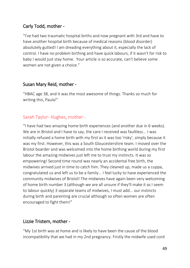## Carly Todd, mother -

"I've had two traumatic hospital births and now pregnant with 3rd and have to have another hospital birth because of medical reasons (blood disorder) absolutely gutted! I am dreading everything about it, especially the lack of control. I have no problem birthing and have quick labours, if it wasn't for risk to baby I would just stay home. Your article is so accurate, can't believe some women are not given a choice."

## Susan Mary Reid, mother -

"HBAC age 38, and it was the most awesome of things. Thanks so much for writing this, Paula!"

## Sarah Taylor- Hughes, mother *-*

"I have had two amazing home birth experiences (and another due in 6 weeks). We are in Bristol and I have to say, the care I received was faultless... I was initially refused a home birth with my first as it was too 'risky', simply because it was my first. However, this was a South Gloucestershire team. I moved over the Bristol boarder and was welcomed into the home birthing world during my first labour the amazing midwives just left me to trust my instincts. It was so empowering! Second time round was nearly an accidental free birth, the midwives arrived just in time to catch him. They cleaned up, made us a cuppa, congratulated us and left us to be a family... I feel lucky to have experienced the community midwives of Bristol! The midwives have again been very welcoming of home birth number 3 (although we are all unsure if they'll make it as I seem to labour quickly) 3 separate teams of midwives, I must add... our instincts during birth and parenting are crucial although so often women are often encouraged to fight them!"

## Lizzie Tristem, mother -

"My 1st birth was at home and is likely to have been the cause of the blood incompatibility that we had in my 2nd pregnancy. Firstly the midwife used cord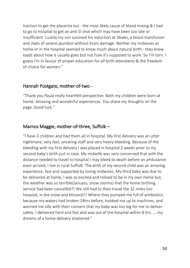traction to get the placenta out - the most likely cause of blood mixing & I had to go to hospital to get an anti-D shot which may have been too late or insufficient. Luckily my son survived his induction at 36wks, a blood transfusion and 2wks of severe jaundice without brain damage. Neither my midwives at home or in the hospital seemed to know much about natural birth - they knew loads about how it usually goes but not how it's supposed to work. So I'm torn. I guess I'm in favour of proper education for all birth attendants & the freedom of choice for women."

#### Hannah Postgate, mother-of-two -

"Thank you Paula really heartfelt perspective. Both my children were born at home. Amazing and wonderful experiences. You share my thoughts on the page. Good luck."

## Marnos Maggie, mother-of-three, Suffolk –

"I have 3 children and had them all in hospital. My first delivery was an utter nightmare, very fast, uncaring staff and very heavy bleeding. Because of the bleeding with my first delivery I was placed in hospital 2 weeks prior to my second baby's birth just in case. My midwife was very concerned that with the distance needed to travel to hospital I may bleed to death before an ambulance even arrived, I live in rural Suffolk. The birth of my second child was an amazing experience, fast and supported by loving midwives. My third baby was due to be delivered at home, I was so excited and relived to be in my own home but, the weather was so terrible(January, snow storms) that the home birthing service had been cancelled?! We still had to then travel the 32 miles too hospital, in the snow and blizzard!!! Where they pumped me full of antibiotics because my waters had broken 24hrs before, hooked me up to machines, and worried me silly with their concern that my baby was too big for me to deliver safely. I delivered hard and fast and was out of the hospital within 8 hrs......my dreams of a home delivery shattered."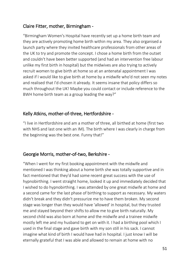## Claire Fitter, mother, Birmingham -

"Birmingham Women's Hospital have recently set up a home birth team and they are actively promoting home birth within my area. They also organised a launch party where they invited healthcare professionals from other areas of the UK to try and promote the concept. I chose a home birth from the outset and couldn't have been better supported (and had an intervention free labour unlike my first birth in hospital) but the midwives are also trying to actively recruit women to give birth at home so at an antenatal appointment I was asked if I would like to give birth at home by a midwife who'd not seen my notes and realised that I'd chosen it already. It seems insane that policy differs so much throughout the UK! Maybe you could contact or include reference to the BWH home birth team as a group leading the way?"

#### Kelly Atkins, mother-of-three, Hertfordshire -

"I live in Hertfordshire and am a mother of three, all birthed at home (first two with NHS and last one with an IM). The birth where I was clearly in charge from the beginning was the best one. Funny that!"

## Georgie Morris, mother-of-two, Berkshire -

"When I went for my first booking appointment with the midwife and mentioned I was thinking about a home birth she was totally supportive and in fact mentioned that they'd had some recent great success with the use of hypnobirthing. I went straight home, looked it up and immediately decided that I wished to do hypnobirthing. I was attended by one great midwife at home and a second came for the last phase of birthing to support as necessary. My waters didn't break and they didn't pressurize me to have them broken. My second stage was longer than they would have 'allowed' in hospital, but they trusted me and stayed beyond their shifts to allow me to give birth naturally. My second child was also born at home and the midwife and a trainee midwife mostly left me and my husband to get on with it. I had a birthing pool which I used in the final stage and gave birth with my son still in his sack. I cannot imagine what kind of birth I would have had in hospital. I just know I will be eternally grateful that I was able and allowed to remain at home with no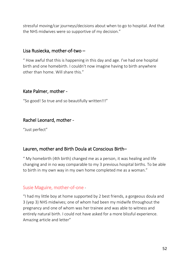stressful moving/car journeys/decisions about when to go to hospital. And that the NHS midwives were so supportive of my decision."

#### Lisa Rusiecka, mother-of-two –

" How awful that this is happening in this day and age. I've had one hospital birth and one homebirth. I couldn't now imagine having to birth anywhere other than home. Will share this."

## Kate Palmer, mother -

"So good! So true and so beautifully written!!!"

## Rachel Leonard, mother -

"Just perfect"

## Lauren, mother and Birth Doula at Conscious Birth–

" My homebirth (4th birth) changed me as a person, it was healing and life changing and in no way comparable to my 3 previous hospital births. To be able to birth in my own way in my own home completed me as a woman."

## Susie Maguire, mother-of-one *-*

"I had my little boy at home supported by 2 best friends, a gorgeous doula and 3 (yep 3) NHS midwives; one of whom had been my midwife throughout the pregnancy and one of whom was her trainee and was able to witness and entirely natural birth. I could not have asked for a more blissful experience. Amazing article and letter"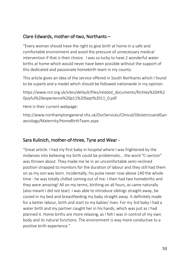## Clare Edwards, mother-of-two, Northants –

"Every woman should have the right to give birth at home in a safe and comfortable environment and avoid the pressure of unnecessary medical intervention if that is their choice. I was so lucky to have 2 wonderful water births at home which would never have been possible without the support of this dedicated and passionate homebirth team in my county.

This article gives an idea of the service offered in South Northants which I found to be superb and a model which should be followed nationwide in my opinion.

https://www.nct.org.uk/sites/default/files/related\_documents/Richley%20A%2 0joyful%20experience%20p11%20Sept%2011\_0.pdf

Here is their current webpage:

http://www.northamptongeneral.nhs.uk/OurServices/Clinical/ObstetricsandGyn aecology/Maternity/HomeBirthTeam.aspx

## Sara Kulinich, mother-of-three, Tyne and Wear -

"Great article. I had my first baby in hospital where I was frightened by the midwives into believing my birth could be problematic… the word "C-section" was thrown about. They made me lie in an uncomfortable semi-reclined position strapped to monitors for the duration of labour and they still had them on as my son was born. Incidentally, his pulse never rose above 140 the whole time - he was totally chilled coming out of me. I then had two homebirths and they were amazing! All on my terms, birthing on all fours, as came naturally (also meant I did not tear). I was able to introduce siblings straight away, be cozied in my bed and breastfeeding my baby straight away. It definitely made for a better labour, birth and start to my babies' lives. For my 3rd baby I had a water birth and my partner caught her in his hands, which was just as I had planned it. Home births are more relaxing, as I felt I was in control of my own body and its natural functions. The environment is way more conductive to a positive birth experience."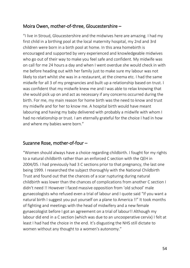## Moira Owen, mother-of-three, Gloucestershire –

"I live in Stroud, Gloucestershire and the midwives here are amazing. I had my first child in a birthing pool at the local maternity hospital, my 2nd and 3rd children were born in a birth pool at home. In this area homebirth is encouraged and supported by very experienced and knowledgeable midwives who go out of their way to make you feel safe and confident. My midwife was on call for me 24 hours a day and when I went overdue she would check in with me before heading out with her family just to make sure my labour was not likely to start whilst she was in a restaurant, at the cinema etc. I had the same midwife for all 3 of my pregnancies and built up a relationship based on trust. I was confident that my midwife knew me and I was able to relax knowing that she would pick up on and act as necessary if any concerns occurred during the birth. For me, my main reason for home birth was the need to know and trust my midwife and for her to know me. A hospital birth would have meant labouring and having my baby delivered with probably a midwife with whom I had no relationship or trust. I am eternally grateful for the choice I had in how and where my babies were born."

#### Suzanne Rose, mother-of-four –

"Women should always have a choice regarding childbirth. I fought for my rights to a natural childbirth rather than an enforced C section with the QEH in 2004/05. I had previously had 3 C sections prior to that pregnancy, the last one being 1999. I researched the subject thoroughly with the National Childbirth Trust and found out that the chances of a scar rupturing during natural childbirth was lower than the chances of complications from another C section I didn't need !! However I faced massive opposition from 'old school' male gynaecologists who refused even a trial of labour and I quote said "If you want a natural birth I suggest you put yourself on a plane to America !!" It took months of fighting and meetings with the head of midwifery and a new female gynaecologist before I got an agreement on a trial of labour!! Although my labour did end in a C section (which was due to an uncooperative cervix) I felt at least I had had the choice in the end. It's disgusting the NHS still dictate to women without any thought to a women's autonomy."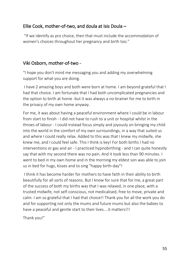## Ellie Cook, mother-of-two, and doula at Isis Doula –

"If we identify as pro choice, then that must include the accommodation of women's choices throughout her pregnancy and birth too."

## Viki Osborn, mother-of-two -

"I hope you don't mind me messaging you and adding my overwhelming support for what you are doing.

I have 2 amazing boys and both were born at home. I am beyond grateful that I had that choice. I am fortunate that I had both uncomplicated pregnancies and the option to birth at home -but it was always a no-brainer for me to birth in the privacy of my own home anyway.

For me, it was about having a peaceful environment where I could be in labour from start to finish - I did not have to rush to a unit or hospital whilst in the throes of labour - I could instead focus simply and joyously on bringing my child into the world in the comfort of my own surroundings, in a way that suited us and where I could really relax. Added to this was that I knew my midwife, she knew me, and I could feel safe. This I think is key! For both births I had no interventions or gas and air - I practiced hypnobirthing - and I can quite honestly say that with my second there was no pain. And it took less than 90 minutes. I went to bed in my own home and in the morning my eldest son was able to join us in bed for hugs, kisses and to sing "happy birth-day"!

I think it has become harder for mothers to have faith in their ability to birth beautifully for all sorts of reasons. But I know for sure that for me, a great part of the success of both my births was that I was relaxed, in one place, with a trusted midwife, not self-conscious, not medicalised, free to move, private and calm. I am so grateful that I had that choice!! Thank you for all the work you do and for supporting not only the mums and future mums but also the babies to have a peaceful and gentle start to their lives....it matters!!!

Thank you!"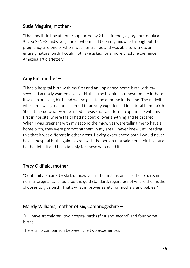#### Susie Maguire, mother -

"I had my little boy at home supported by 2 best friends, a gorgeous doula and 3 (yep 3) NHS midwives; one of whom had been my midwife throughout the pregnancy and one of whom was her trainee and was able to witness an entirely natural birth. I could not have asked for a more blissful experience. Amazing article/letter."

## Amy Em, mother –

"I had a hospital birth with my first and an unplanned home birth with my second. I actually wanted a water birth at the hospital but never made it there. It was an amazing birth and was so glad to be at home in the end. The midwife who came was great and seemed to be very experienced in natural home birth. She let me do whatever I wanted. It was such a different experience with my first in hospital where I felt I had no control over anything and felt scared . When I was pregnant with my second the midwives were telling me to have a home birth, they were promoting them in my area. I never knew until reading this that it was different in other areas. Having experienced both I would never have a hospital birth again. I agree with the person that said home birth should be the default and hospital only for those who need it."

## Tracy Oldfield, mother –

"Continuity of care, by skilled midwives in the first instance as the experts in normal pregnancy, should be the gold standard, regardless of where the mother chooses to give birth. That's what improves safety for mothers and babies."

## Mandy Williams, mother-of-six, Cambridgeshire –

"Hi I have six children, two hospital births (first and second) and four home births.

There is no comparison between the two experiences.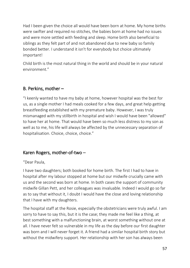Had I been given the choice all would have been born at home. My home births were swifter and required no stitches, the babies born at home had no issues and were more settled with feeding and sleep. Home birth also beneficial to siblings as they felt part of and not abandoned due to new baby so family bonded better. I understand it isn't for everybody but choice ultimately important!

Child birth is the most natural thing in the world and should be in your natural environment."

## B. Perkins, mother –

"I keenly wanted to have my baby at home, however hospital was the best for us, as a single mother I had meals cooked for a few days, and great help getting breastfeeding established with my premature baby. However, I was truly mismanaged with my stillbirth in hospital and wish I would have been "allowed" to have her at home. That would have been so much less distress to my son as well as to me, his life will always be affected by the unnecessary separation of hospitalisation. Choice, choice, choice."

## Karen Rogers, mother-of-two –

#### "Dear Paula,

I have two daughters; both booked for home birth. The first I had to have in hospital after my labour stopped at home but our midwife crucially came with us and the second was born at home. In both cases the support of community midwife Gillan Pett, and her colleagues was invaluable. Indeed I would go so far as to say that without it, I doubt I would have the close and loving relationship that I have with my daughters.

The hospital staff at the Rosie, especially the obstetricians were truly awful. I am sorry to have to say this, but it is the case; they made me feel like a thing, at best something with a malfunctioning brain, at worst something without one at all. I have never felt so vulnerable in my life as the day before our first daughter was born and I will never forget it. A friend had a similar hospital birth story but without the midwifery support. Her relationship with her son has always been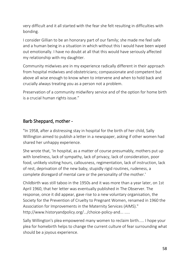very difficult and it all started with the fear she felt resulting in difficulties with bonding.

I consider Gillian to be an honorary part of our family; she made me feel safe and a human being in a situation in which without this I would have been wiped out emotionally. I have no doubt at all that this would have seriously affected my relationship with my daughter.

Community midwives are in my experience radically different in their approach from hospital midwives and obstetricians; compassionate and competent but above all wise enough to know when to intervene and when to hold back and crucially always treating you as a person not a problem.

Preservation of a community midwifery service and of the option for home birth is a crucial human rights issue."

## Barb Sheppard, mother -

"In 1958, after a distressing stay in hospital for the birth of her child, Sally Willington aimed to publish a letter in a newspaper, asking if other women had shared her unhappy experience.

She wrote that, 'In hospital, as a matter of course presumably, mothers put up with loneliness, lack of sympathy, lack of privacy, lack of consideration, poor food, unlikely visiting hours, callousness, regimentation, lack of instruction, lack of rest, deprivation of the new baby, stupidly rigid routines, rudeness, a complete disregard of mental care or the personality of the mother.'

Childbirth was still taboo in the 1950s and it was more than a year later, on 1st April 1960, that her letter was eventually published in The Observer. The response, once it did appear, gave rise to a new voluntary organisation, the Society for the Prevention of Cruelty to Pregnant Women, renamed in 1960 the Association for Improvements in the Maternity Services (AIMS)." http://www.historyandpolicy.org/.../choice-policy-and... .....

Sally Willington's plea empowered many women to reclaim birth..... I hope your plea for homebirth helps to change the current culture of fear surrounding what should be a joyous experience.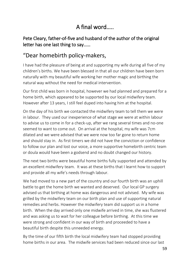# A final word…..

Pete Cleary, father-of-five and husband of the author of the original letter has one last thing to say……

# "Dear homebirth policy-makers,

I have had the pleasure of being at and supporting my wife during all five of my children's births. We have been blessed in that all our children have been born naturally with my beautiful wife working her mother magic and birthing the natural way without the need for medical intervention.

Our first child was born in hospital, however we had planned and prepared for a home birth, which appeared to be supported by our local midwifery team. However after 13 years, I still feel duped into having him at the hospital.

On the day of his birth we contacted the midwifery team to tell them we were in labour. They used our inexperience of what stage we were at within labour to advise us to come in for a check-up, after we rang several times and no-one seemed to want to come out. On arrival at the hospital, my wife was 7cm dilated and we were advised that we were now too far gone to return home and should stay in. As first timers we did not have the conviction or confidence to follow our plan and lost our voice, a more supportive homebirth centric team or doula would have been a godsend and no doubt changed our history.

The next two births were beautiful home births fully supported and attended by an excellent midwifery team. It was at these births that I learnt how to support and provide all my wife's needs through labour.

We had moved to a new part of the country and our fourth birth was an uphill battle to get the home birth we wanted and deserved. Our local GP surgery advised us that birthing at home was dangerous and not advised. My wife was grilled by the midwifery team on our birth plan and use of supporting natural remedies and herbs. However the midwifery team did support us in a home birth. When the day arrived only one midwife arrived in time, she was flustered and was asking us to wait for her colleague before birthing. At this time we were strong and confident in our way of birth and proceeded to have a beautiful birth despite this unneeded energy.

By the time of our fifth birth the local midwifery team had stopped providing home births in our area. The midwife services had been reduced since our last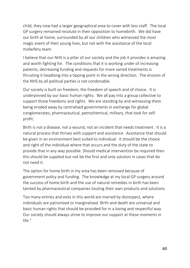child, they now had a larger geographical area to cover with less staff. The local GP surgery remained resolute in their opposition to homebirth. We did have our birth at home, surrounded by all our children who witnessed the most magic event of their young lives, but not with the assistance of the local midwifery team.

I believe that our NHS is a pillar of our society and the job it provides is amazing and worth fighting for. The conditions that it is working under of increasing patients, decreasing funding and requests for more varied treatments is thrusting it headlong into a tipping point in the wrong direction. The erosion of the NHS by all political parties is not condonable.

Our society is built on freedom, the freedom of speech and of choice. It is underpinned by our basic human rights. We all pay into a group collective to support those freedoms and rights. We are standing by and witnessing them being eroded away by centralised governments in exchange for global conglomerates, pharmaceutical, petrochemical, military, that look for selfprofit.

Birth is not a disease, not a wound, not an incident that needs treatment. It is a natural process that thrives with support and assistance. Assistance that should be given in an environment best suited to individual. It should be the choice and right of the individual where that occurs and the duty of the state to provide that in any way possible. Should medical intervention be required then this should be supplied but not be the first and only solution in cases that do not need it.

The option for home birth in my area has been removed because of government policy and funding. The knowledge at my local GP surgery around the success of home birth and the use of natural remedies in birth has been tainted by pharmaceutical companies touting their own products and solutions.

Too many entries and exits in this world are marred by disrespect, where individuals are patronised or marginalised. Birth and death are universal and basic human rights that should be provided for in a loving and respectful way. Our society should always strive to improve our support at these moments in life."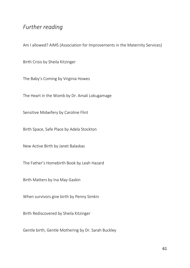## *Further reading*

Am I allowed? AIMS (Association for Improvements in the Maternity Services)

Birth Crisis by Sheila Kitzinger

The Baby's Coming by Virginia Howes

The Heart in the Womb by Dr. Amali Lokugamage

Sensitive Midwifery by Caroline Flint

Birth Space, Safe Place by Adela Stockton

New Active Birth by Janet Balaskas

The Father's Homebirth Book by Leah Hazard

Birth Matters by Ina May Gaskin

When survivors give birth by Penny Simkin

Birth Rediscovered by Sheila Kitzinger

Gentle birth, Gentle Mothering by Dr. Sarah Buckley